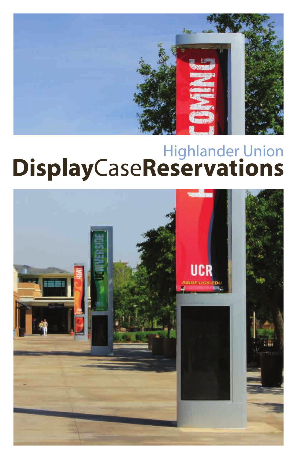

# Highlander Union<br>DisplayCaseReservations

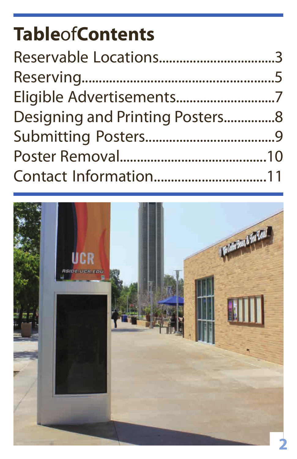# **Table**of**Contents**

| Reservable Locations3           |  |
|---------------------------------|--|
|                                 |  |
| Eligible Advertisements7        |  |
| Designing and Printing Posters8 |  |
|                                 |  |
|                                 |  |
| Contact Information11           |  |

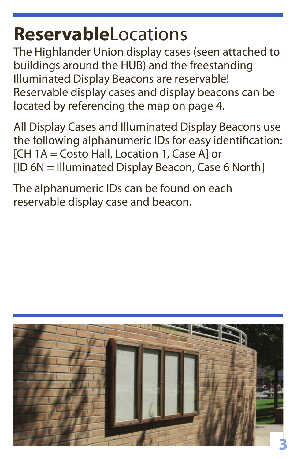#### **Reservable**Locations

The Highlander Union display cases (seen attached to buildings around the HUB) and the freestanding Illuminated Display Beacons are reservable! Reservable display cases and display beacons can be located by referencing the map on page 4.

All Display Cases and Illuminated Display Beacons use the following alphanumeric IDs for easy identification: [CH 1A = Costo Hall, Location 1, Case A] or [ID 6N = Illuminated Display Beacon, Case 6 North]

The alphanumeric IDs can be found on each reservable display case and beacon.

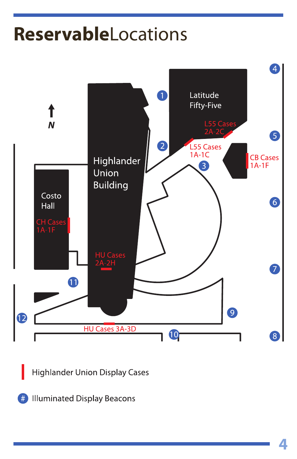## **Reservable**Locations



**Highlander Union Display Cases** 

**Illuminated Display Beacons**  $#$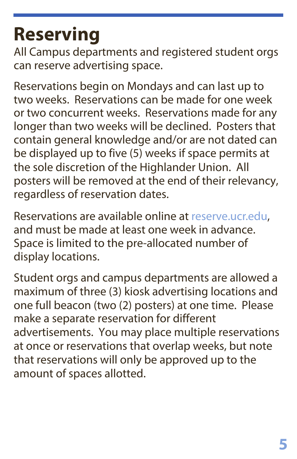# **Reserving**

All Campus departments and registered student orgs can reserve advertising space.

Reservations begin on Mondays and can last up to two weeks. Reservations can be made for one week or two concurrent weeks. Reservations made for any longer than two weeks will be declined. Posters that contain general knowledge and/or are not dated can be displayed up to five (5) weeks if space permits at the sole discretion of the Highlander Union. All posters will be removed at the end of their relevancy, regardless of reservation dates.

Reservations are available online at reserve.ucr.edu, and must be made at least one week in advance. Space is limited to the pre-allocated number of display locations.

Student orgs and campus departments are allowed a maximum of three (3) kiosk advertising locations and one full beacon (two (2) posters) at one time. Please make a separate reservation for different advertisements. You may place multiple reservations at once or reservations that overlap weeks, but note that reservations will only be approved up to the amount of spaces allotted.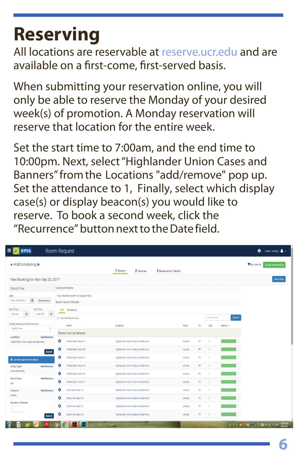# **Reserving**

All locations are reservable at reserve.ucr.edu and are available on a first-come, first-served basis.

When submitting your reservation online, you will only be able to reserve the Monday of your desired week(s) of promotion. A Monday reservation will reserve that location for the entire week.

Set the start time to 7:00am, and the end time to 10:00pm. Next, select "Highlander Union Cases and Banners" from the Locations "add/remove" pop up. Set the attendance to 1, Finally, select which display case(s) or display beacon(s) you would like to reserve. To book a second week, click the "Recurrence" button next to the Date field.

| $\equiv$ $\approx$ ems                           |                                    | Room Request                          |                                           |                       |             |              |         | <b>O</b> HOPE TA'NEILL & V               |
|--------------------------------------------------|------------------------------------|---------------------------------------|-------------------------------------------|-----------------------|-------------|--------------|---------|------------------------------------------|
| x HUB Scheduling @                               |                                    |                                       | 1 Rooms<br>2 Services                     | 3 Reservation Details |             |              |         | My Cart (0)<br><b>Create Reservation</b> |
| New Booking for Mon Sep 25, 2017                 |                                    |                                       |                                           |                       |             |              |         | Next Step                                |
| Date & Time                                      |                                    | <b>Selected Rooms</b>                 |                                           |                       |             |              |         |                                          |
| Date                                             |                                    | Your selected Rooms will appear here. |                                           |                       |             |              |         |                                          |
| m<br>Mon 09/25/2017                              | Recurrence                         | Room Search Results                   |                                           |                       |             |              |         |                                          |
| <b>Start Time</b><br>$\circ$<br>7:00 AM          | End Time<br>$_{\odot}$<br>10:00 PM | LIST<br>SCHEDULE                      |                                           |                       |             |              |         |                                          |
|                                                  | Favorite Rooms only.               |                                       |                                           |                       | Find A Room | Search       |         |                                          |
| Create booking in this time zone<br>Pacific Time | ٠                                  | Room                                  | Location                                  | Floor                 | TZ.         | Cap          | Match ~ |                                          |
| Locations                                        | Add/Remove                         | Rooms You Can Reserve                 |                                           |                       |             |              |         |                                          |
| Highlander Union Cases and Banners               |                                    | ۰<br>Coffee Bean Case 1A              | <b>Highlander Union Cases and Banners</b> | (none)                | PT          | ٠            |         |                                          |
|                                                  | Search                             | ۰<br>Coffee Bean Case 1B              | <b>Highlander Union Cases and Banners</b> | (none)                | PT          | ٠            |         |                                          |
| C Let Me Search For A Room                       |                                    | ۰<br>Coffee Bean Case 1C              | <b>Highlander Union Cases and Banners</b> | (none)                | PT          | ٠            |         |                                          |
| <b>Setup Types</b>                               | Add/Remove                         | ۰<br>Coffee Bean Case 1D              | <b>Highlander Union Cases and Banners</b> | (none)                | PT          | 4.           |         |                                          |
| (no preference)                                  |                                    | ۰<br>Coffee Bean Case 1E              | <b>Highlander Union Cases and Banners</b> | (none)                | PT          | ×            |         |                                          |
| <b>Room Types</b><br>(a  )                       | Add/Remove                         | ۰<br>Coffee Bean Case 1F              | Highlander Union Cases and Banners        | (none)                | PT          | 4            |         |                                          |
| Features                                         | Add/Remove                         | ٥<br>Costo Hall Case 1A               | Highlander Union Cases and Banners        | (none)                | PT          | ×            |         |                                          |
| (none)                                           |                                    | ۰<br>Costo Hall Case 1B               | Highlander Union Cases and Banners        | (none)                | PT          | Ŧ.           |         |                                          |
| <b>Number of People</b>                          |                                    | ٥<br>Costo Hall Case 1C               | <b>Highlander Union Cases and Banners</b> | (none)                | PT          | ٠            |         |                                          |
| л.                                               |                                    | ۰<br>Costo Hall Case 1D               | <b>Highlander Union Cases and Banners</b> | (none)                | PT          | $\mathbf{1}$ |         |                                          |
|                                                  | Search                             |                                       |                                           |                       |             |              |         |                                          |
| 쩨<br>로                                           | ඟ                                  | Ps <br>W<br>o                         |                                           |                       |             |              |         | 11:26 AM<br>982年の9月間の回転もなめ<br>9/8/2017   |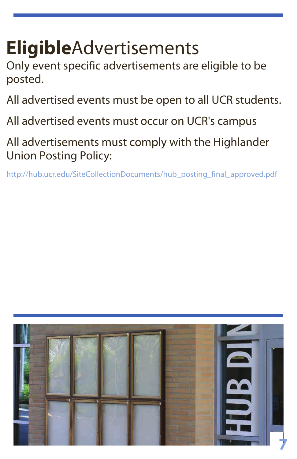# **Eligible**Advertisements

Only event specific advertisements are eligible to be posted.

All advertised events must be open to all UCR students.

All advertised events must occur on UCR's campus

All advertisements must comply with the Highlander Union Posting Policy:

http://hub.ucr.edu/SiteCollectionDocuments/hub\_posting\_final\_approved.pdf

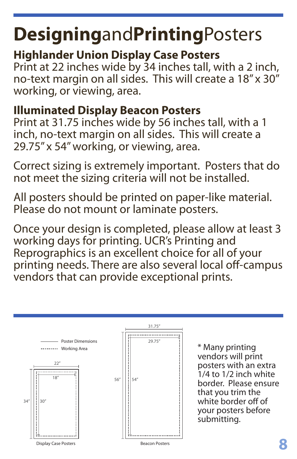# **Designing**and**Printing**Posters

#### **Highlander Union Display Case Posters**

Print at 22 inches wide by 34 inches tall, with a 2 inch, no-text margin on all sides. This will create a 18" x 30" working, or viewing, area.

#### **Illuminated Display Beacon Posters**

Print at 31.75 inches wide by 56 inches tall, with a 1 inch, no-text margin on all sides. This will create a 29.75" x 54" working, or viewing, area.

Correct sizing is extremely important. Posters that do not meet the sizing criteria will not be installed.

All posters should be printed on paper-like material. Please do not mount or laminate posters.

Once your design is completed, please allow at least 3 working days for printing. UCR's Printing and Reprographics is an excellent choice for all of your printing needs. There are also several local off-campus vendors that can provide exceptional prints.



\* Many printing vendors will print posters with an extra 1/4 to 1/2 inch white border. Please ensure that you trim the white border off of your posters before submitting.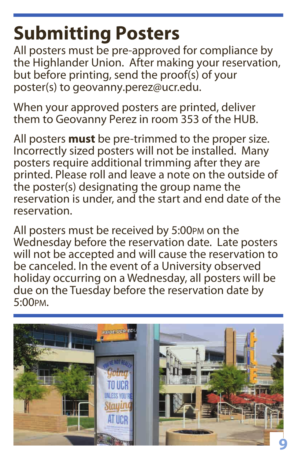# **Submitting Posters**

All posters must be pre-approved for compliance by the Highlander Union. After making your reservation, but before printing, send the proof(s) of your poster(s) to geovanny.perez@ucr.edu.

When your approved posters are printed, deliver them to Geovanny Perez in room 353 of the HUB.

All posters **must** be pre-trimmed to the proper size. Incorrectly sized posters will not be installed. Many posters require additional trimming after they are printed. Please roll and leave a note on the outside of the poster(s) designating the group name the reservation is under, and the start and end date of the reservation.

All posters must be received by 5:00PM on the Wednesday before the reservation date. Late posters will not be accepted and will cause the reservation to be canceled. In the event of a University observed holiday occurring on a Wednesday, all posters will be due on the Tuesday before the reservation date by 5:00PM.

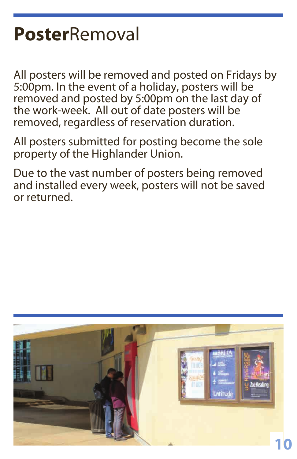## **Poster**Removal

All posters will be removed and posted on Fridays by 5:00pm. In the event of a holiday, posters will be removed and posted by 5:00pm on the last day of the work-week. All out of date posters will be removed, regardless of reservation duration.

All posters submitted for posting become the sole property of the Highlander Union.

Due to the vast number of posters being removed and installed every week, posters will not be saved or returned.